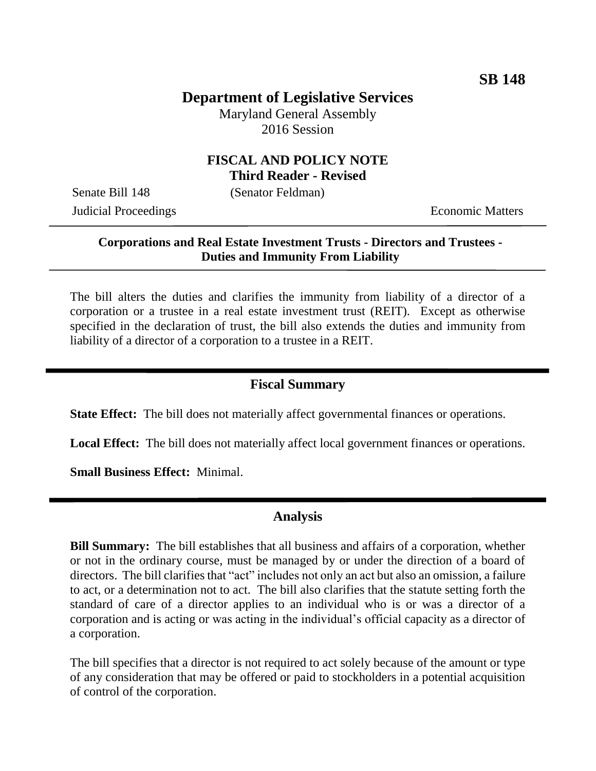# **Department of Legislative Services**

Maryland General Assembly 2016 Session

#### **FISCAL AND POLICY NOTE Third Reader - Revised**

Senate Bill 148 (Senator Feldman)

**Judicial Proceedings** Economic Matters

### **Corporations and Real Estate Investment Trusts - Directors and Trustees - Duties and Immunity From Liability**

The bill alters the duties and clarifies the immunity from liability of a director of a corporation or a trustee in a real estate investment trust (REIT). Except as otherwise specified in the declaration of trust, the bill also extends the duties and immunity from liability of a director of a corporation to a trustee in a REIT.

# **Fiscal Summary**

**State Effect:** The bill does not materially affect governmental finances or operations.

**Local Effect:** The bill does not materially affect local government finances or operations.

**Small Business Effect:** Minimal.

### **Analysis**

**Bill Summary:** The bill establishes that all business and affairs of a corporation, whether or not in the ordinary course, must be managed by or under the direction of a board of directors. The bill clarifies that "act" includes not only an act but also an omission, a failure to act, or a determination not to act. The bill also clarifies that the statute setting forth the standard of care of a director applies to an individual who is or was a director of a corporation and is acting or was acting in the individual's official capacity as a director of a corporation.

The bill specifies that a director is not required to act solely because of the amount or type of any consideration that may be offered or paid to stockholders in a potential acquisition of control of the corporation.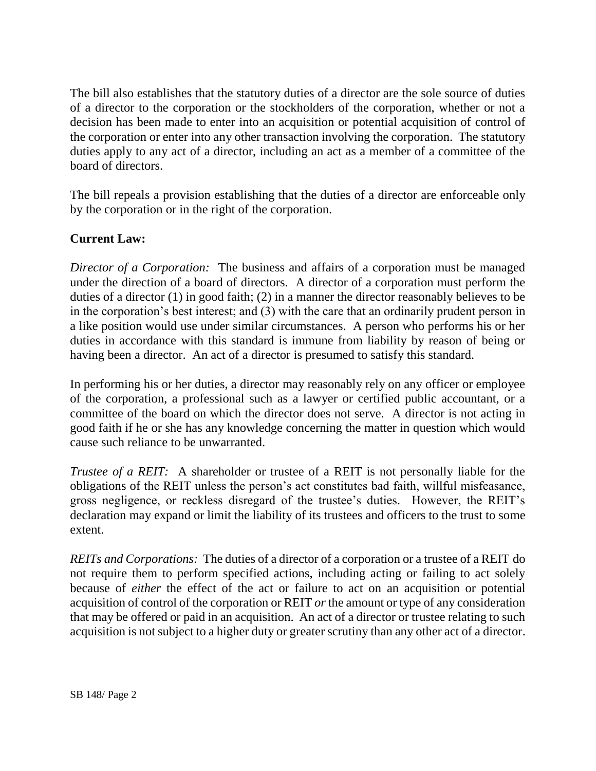The bill also establishes that the statutory duties of a director are the sole source of duties of a director to the corporation or the stockholders of the corporation, whether or not a decision has been made to enter into an acquisition or potential acquisition of control of the corporation or enter into any other transaction involving the corporation. The statutory duties apply to any act of a director, including an act as a member of a committee of the board of directors.

The bill repeals a provision establishing that the duties of a director are enforceable only by the corporation or in the right of the corporation.

# **Current Law:**

*Director of a Corporation:* The business and affairs of a corporation must be managed under the direction of a board of directors. A director of a corporation must perform the duties of a director (1) in good faith; (2) in a manner the director reasonably believes to be in the corporation's best interest; and (3) with the care that an ordinarily prudent person in a like position would use under similar circumstances. A person who performs his or her duties in accordance with this standard is immune from liability by reason of being or having been a director. An act of a director is presumed to satisfy this standard.

In performing his or her duties, a director may reasonably rely on any officer or employee of the corporation, a professional such as a lawyer or certified public accountant, or a committee of the board on which the director does not serve. A director is not acting in good faith if he or she has any knowledge concerning the matter in question which would cause such reliance to be unwarranted.

*Trustee of a REIT:* A shareholder or trustee of a REIT is not personally liable for the obligations of the REIT unless the person's act constitutes bad faith, willful misfeasance, gross negligence, or reckless disregard of the trustee's duties. However, the REIT's declaration may expand or limit the liability of its trustees and officers to the trust to some extent.

*REITs and Corporations:* The duties of a director of a corporation or a trustee of a REIT do not require them to perform specified actions, including acting or failing to act solely because of *either* the effect of the act or failure to act on an acquisition or potential acquisition of control of the corporation or REIT *or* the amount or type of any consideration that may be offered or paid in an acquisition. An act of a director or trustee relating to such acquisition is not subject to a higher duty or greater scrutiny than any other act of a director.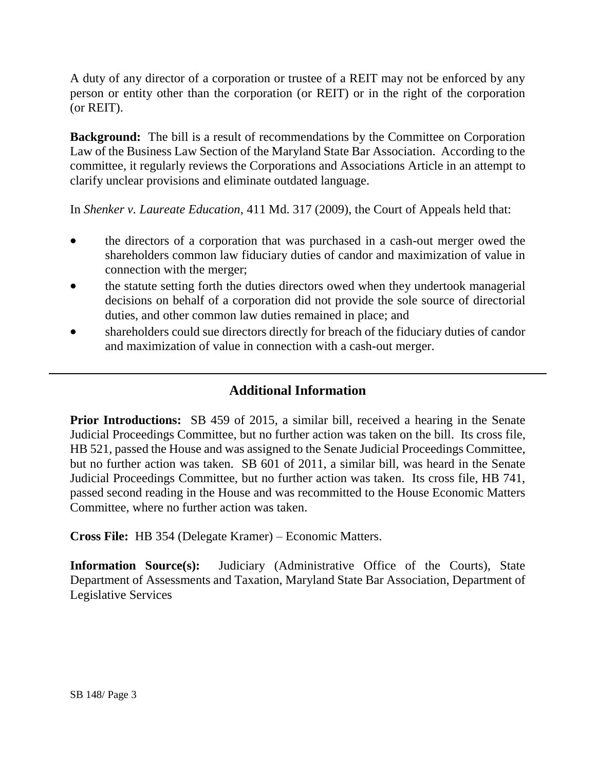A duty of any director of a corporation or trustee of a REIT may not be enforced by any person or entity other than the corporation (or REIT) or in the right of the corporation (or REIT).

**Background:** The bill is a result of recommendations by the Committee on Corporation Law of the Business Law Section of the Maryland State Bar Association. According to the committee, it regularly reviews the Corporations and Associations Article in an attempt to clarify unclear provisions and eliminate outdated language.

In *Shenker v. Laureate Education*, 411 Md. 317 (2009), the Court of Appeals held that:

- the directors of a corporation that was purchased in a cash-out merger owed the shareholders common law fiduciary duties of candor and maximization of value in connection with the merger;
- the statute setting forth the duties directors owed when they undertook managerial decisions on behalf of a corporation did not provide the sole source of directorial duties, and other common law duties remained in place; and
- shareholders could sue directors directly for breach of the fiduciary duties of candor and maximization of value in connection with a cash-out merger.

# **Additional Information**

**Prior Introductions:** SB 459 of 2015, a similar bill, received a hearing in the Senate Judicial Proceedings Committee, but no further action was taken on the bill. Its cross file, HB 521, passed the House and was assigned to the Senate Judicial Proceedings Committee, but no further action was taken. SB 601 of 2011, a similar bill, was heard in the Senate Judicial Proceedings Committee, but no further action was taken. Its cross file, HB 741, passed second reading in the House and was recommitted to the House Economic Matters Committee, where no further action was taken.

**Cross File:** HB 354 (Delegate Kramer) – Economic Matters.

**Information Source(s):** Judiciary (Administrative Office of the Courts), State Department of Assessments and Taxation, Maryland State Bar Association, Department of Legislative Services